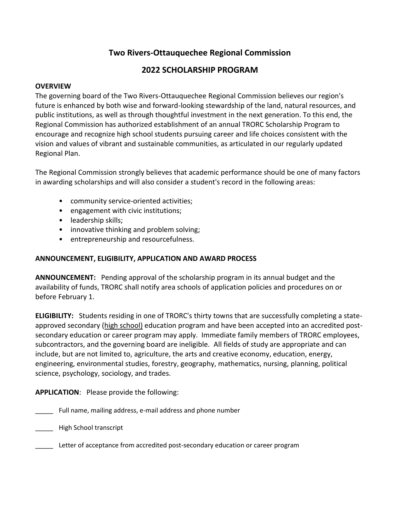# **Two Rivers-Ottauquechee Regional Commission**

## **2022 SCHOLARSHIP PROGRAM**

#### **OVERVIEW**

The governing board of the Two Rivers-Ottauquechee Regional Commission believes our region's future is enhanced by both wise and forward-looking stewardship of the land, natural resources, and public institutions, as well as through thoughtful investment in the next generation. To this end, the Regional Commission has authorized establishment of an annual TRORC Scholarship Program to encourage and recognize high school students pursuing career and life choices consistent with the vision and values of vibrant and sustainable communities, as articulated in our regularly updated Regional Plan.

The Regional Commission strongly believes that academic performance should be one of many factors in awarding scholarships and will also consider a student's record in the following areas:

- community service-oriented activities;
- engagement with civic institutions;
- leadership skills;
- innovative thinking and problem solving;
- entrepreneurship and resourcefulness.

### **ANNOUNCEMENT, ELIGIBILITY, APPLICATION AND AWARD PROCESS**

**ANNOUNCEMENT:** Pending approval of the scholarship program in its annual budget and the availability of funds, TRORC shall notify area schools of application policies and procedures on or before February 1.

**ELIGIBILITY:** Students residing in one of TRORC's thirty towns that are successfully completing a stateapproved secondary (high school) education program and have been accepted into an accredited postsecondary education or career program may apply. Immediate family members of TRORC employees, subcontractors, and the governing board are ineligible. All fields of study are appropriate and can include, but are not limited to, agriculture, the arts and creative economy, education, energy, engineering, environmental studies, forestry, geography, mathematics, nursing, planning, political science, psychology, sociology, and trades.

**APPLICATION**: Please provide the following:

- \_\_\_\_\_ Full name, mailing address, e-mail address and phone number
- \_\_\_\_\_ High School transcript
- Letter of acceptance from accredited post-secondary education or career program